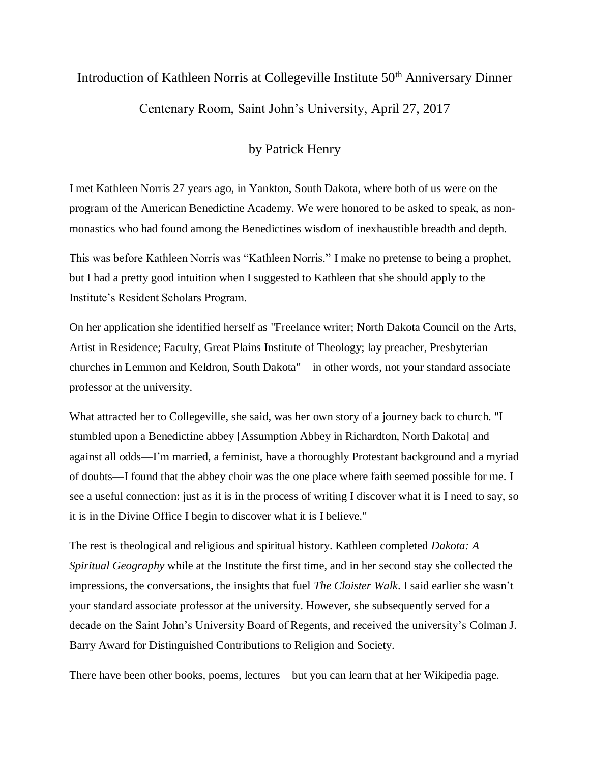## Introduction of Kathleen Norris at Collegeville Institute 50<sup>th</sup> Anniversary Dinner

Centenary Room, Saint John's University, April 27, 2017

## by Patrick Henry

I met Kathleen Norris 27 years ago, in Yankton, South Dakota, where both of us were on the program of the American Benedictine Academy. We were honored to be asked to speak, as nonmonastics who had found among the Benedictines wisdom of inexhaustible breadth and depth.

This was before Kathleen Norris was "Kathleen Norris." I make no pretense to being a prophet, but I had a pretty good intuition when I suggested to Kathleen that she should apply to the Institute's Resident Scholars Program.

On her application she identified herself as "Freelance writer; North Dakota Council on the Arts, Artist in Residence; Faculty, Great Plains Institute of Theology; lay preacher, Presbyterian churches in Lemmon and Keldron, South Dakota"—in other words, not your standard associate professor at the university.

What attracted her to Collegeville, she said, was her own story of a journey back to church. "I stumbled upon a Benedictine abbey [Assumption Abbey in Richardton, North Dakota] and against all odds—I'm married, a feminist, have a thoroughly Protestant background and a myriad of doubts—I found that the abbey choir was the one place where faith seemed possible for me. I see a useful connection: just as it is in the process of writing I discover what it is I need to say, so it is in the Divine Office I begin to discover what it is I believe."

The rest is theological and religious and spiritual history. Kathleen completed *Dakota: A Spiritual Geography* while at the Institute the first time, and in her second stay she collected the impressions, the conversations, the insights that fuel *The Cloister Walk*. I said earlier she wasn't your standard associate professor at the university. However, she subsequently served for a decade on the Saint John's University Board of Regents, and received the university's Colman J. Barry Award for Distinguished Contributions to Religion and Society.

There have been other books, poems, lectures—but you can learn that at her Wikipedia page.